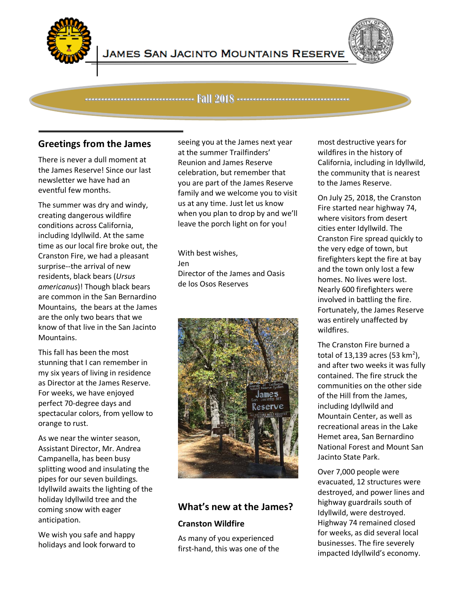

Ĩ



---------------------------------- Fall 2018 -----------------------------------

## **Greetings from the James**

There is never a dull moment at the James Reserve! Since our last newsletter we have had an eventful few months.

The summer was dry and windy, creating dangerous wildfire conditions across California, including Idyllwild. At the same time as our local fire broke out, the Cranston Fire, we had a pleasant surprise--the arrival of new residents, black bears (*Ursus americanus*)! Though black bears are common in the San Bernardino Mountains, the bears at the James are the only two bears that we know of that live in the San Jacinto Mountains.

This fall has been the most stunning that I can remember in my six years of living in residence as Director at the James Reserve. For weeks, we have enjoyed perfect 70-degree days and spectacular colors, from yellow to orange to rust.

As we near the winter season, Assistant Director, Mr. Andrea Campanella, has been busy splitting wood and insulating the pipes for our seven buildings. Idyllwild awaits the lighting of the holiday Idyllwild tree and the coming snow with eager anticipation.

We wish you safe and happy holidays and look forward to

seeing you at the James next year at the summer Trailfinders' Reunion and James Reserve celebration, but remember that you are part of the James Reserve family and we welcome you to visit us at any time. Just let us know when you plan to drop by and we'll leave the porch light on for you!

With best wishes, Jen Director of the James and Oasis de los Osos Reserves



## **What's new at the James?**

## **Cranston Wildfire**

As many of you experienced first-hand, this was one of the most destructive years for wildfires in the history of California, including in Idyllwild, the community that is nearest to the James Reserve.

On July 25, 2018, the Cranston Fire started near highway 74, where visitors from desert cities enter Idyllwild. The Cranston Fire spread quickly to the very edge of town, but firefighters kept the fire at bay and the town only lost a few homes. No lives were lost. Nearly 600 firefighters were involved in battling the fire. Fortunately, the James Reserve was entirely unaffected by wildfires.

The Cranston Fire burned a total of 13,139 acres (53  $km^2$ ), and after two weeks it was fully contained. The fire struck the communities on the other side of the Hill from the James, including Idyllwild and Mountain Center, as well as recreational areas in the Lake Hemet area, San Bernardino National Forest and Mount San Jacinto State Park.

Over 7,000 people were evacuated, 12 structures were destroyed, and power lines and highway guardrails south of Idyllwild, were destroyed. Highway 74 remained closed for weeks, as did several local businesses. The fire severely impacted Idyllwild's economy.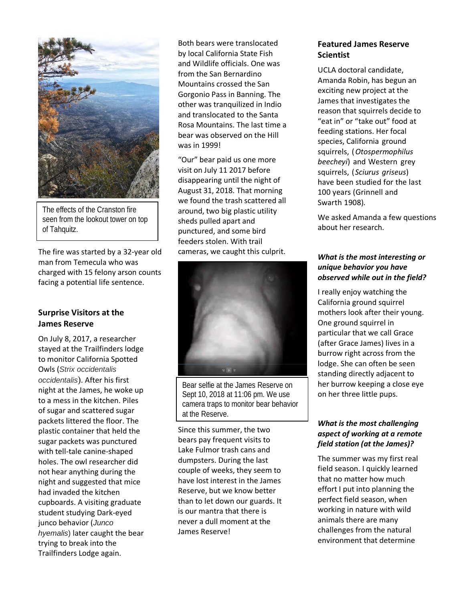

The effects of the Cranston fire seen from the lookout tower on top of Tahquitz.

The fire was started by a 32-year old man from Temecula who was charged with 15 felony arson counts facing a potential life sentence.

#### **Surprise Visitors at the James Reserve**

On July 8, 2017, a researcher stayed at the Trailfinders lodge to monitor California Spotted Owls (*Strix occidentalis occidentalis*). After his first night at the James, he woke up to a mess in the kitchen. Piles of sugar and scattered sugar packets littered the floor. The plastic container that held the sugar packets was punctured with tell-tale canine-shaped holes. The owl researcher did not hear anything during the night and suggested that mice had invaded the kitchen cupboards. A visiting graduate student studying Dark-eyed junco behavior (*Junco hyemalis*) later caught the bear trying to break into the Trailfinders Lodge again.

Both bears were translocated by local California State Fish and Wildlife officials. One was from the San Bernardino Mountains crossed the San Gorgonio Pass in Banning. The other was tranquilized in Indio and translocated to the Santa Rosa Mountains. The last time a bear was observed on the Hill was in 1999!

"Our" bear paid us one more visit on July 11 2017 before disappearing until the night of August 31, 2018. That morning we found the trash scattered all around, two big plastic utility sheds pulled apart and punctured, and some bird feeders stolen. With trail cameras, we caught this culprit.



Bear selfie at the James Reserve on Sept 10, 2018 at 11:06 pm. We use camera traps to monitor bear behavior at the Reserve.

Since this summer, the two bears pay frequent visits to Lake Fulmor trash cans and dumpsters. During the last couple of weeks, they seem to have lost interest in the James Reserve, but we know better than to let down our guards. It is our mantra that there is never a dull moment at the James Reserve!

#### **Featured James Reserve Scientist**

UCLA doctoral candidate, Amanda Robin, has begun an exciting new project at the James that investigates the reason that squirrels decide to "eat in" or "take out" food at feeding stations. Her focal species, California ground squirrels, (*Otospermophilus beecheyi*) and Western grey squirrels, (*Sciurus griseus*) have been studied for the last 100 years (Grinnell and Swarth 1908)*.*

We asked Amanda a few questions about her research.

#### *What is the most interesting or unique behavior you have observed while out in the field?*

I really enjoy watching the California ground squirrel mothers look after their young. One ground squirrel in particular that we call Grace (after Grace James) lives in a burrow right across from the lodge. She can often be seen standing directly adjacent to her burrow keeping a close eye on her three little pups.

#### *What is the most challenging aspect of working at a remote field station (at the James)?*

The summer was my first real field season. I quickly learned that no matter how much effort I put into planning the perfect field season, when working in nature with wild animals there are many challenges from the natural environment that determine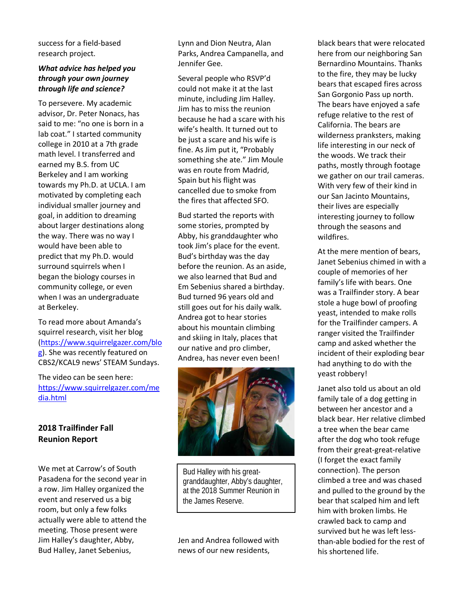success for a field-based research project.

#### *What advice has helped you through your own journey through life and science?*

To persevere. My academic advisor, Dr. Peter Nonacs, has said to me: "no one is born in a lab coat." I started community college in 2010 at a 7th grade math level. I transferred and earned my B.S. from UC Berkeley and I am working towards my Ph.D. at UCLA. I am motivated by completing each individual smaller journey and goal, in addition to dreaming about larger destinations along the way. There was no way I would have been able to predict that my Ph.D. would surround squirrels when I began the biology courses in community college, or even when I was an undergraduate at Berkeley.

To read more about Amanda's squirrel research, visit her blog [\(https://www.squirrelgazer.com/blo](https://www.squirrelgazer.com/blog) [g\)](https://www.squirrelgazer.com/blog). She was recently featured on CBS2/KCAL9 news' STEAM Sundays.

The video can be seen here: [https://www.squirrelgazer.com/me](https://www.squirrelgazer.com/media.html) [dia.html](https://www.squirrelgazer.com/media.html)

## **2018 Trailfinder Fall Reunion Report**

We met at Carrow's of South Pasadena for the second year in a row. Jim Halley organized the event and reserved us a big room, but only a few folks actually were able to attend the meeting. Those present were Jim Halley's daughter, Abby, Bud Halley, Janet Sebenius,

Lynn and Dion Neutra, Alan Parks, Andrea Campanella, and Jennifer Gee.

Several people who RSVP'd could not make it at the last minute, including Jim Halley. Jim has to miss the reunion because he had a scare with his wife's health. It turned out to be just a scare and his wife is fine. As Jim put it, "Probably something she ate." Jim Moule was en route from Madrid, Spain but his flight was cancelled due to smoke from the fires that affected SFO.

Bud started the reports with some stories, prompted by Abby, his granddaughter who took Jim's place for the event. Bud's birthday was the day before the reunion. As an aside, we also learned that Bud and Em Sebenius shared a birthday. Bud turned 96 years old and still goes out for his daily walk. Andrea got to hear stories about his mountain climbing and skiing in Italy, places that our native and pro climber, Andrea, has never even been!



Bud Halley with his greatgranddaughter, Abby's daughter, at the 2018 Summer Reunion in the James Reserve.

Jen and Andrea followed with news of our new residents,

black bears that were relocated here from our neighboring San Bernardino Mountains. Thanks to the fire, they may be lucky bears that escaped fires across San Gorgonio Pass up north. The bears have enjoyed a safe refuge relative to the rest of California. The bears are wilderness pranksters, making life interesting in our neck of the woods. We track their paths, mostly through footage we gather on our trail cameras. With very few of their kind in our San Jacinto Mountains, their lives are especially interesting journey to follow through the seasons and wildfires.

At the mere mention of bears, Janet Sebenius chimed in with a couple of memories of her family's life with bears. One was a Trailfinder story. A bear stole a huge bowl of proofing yeast, intended to make rolls for the Trailfinder campers. A ranger visited the Trailfinder camp and asked whether the incident of their exploding bear had anything to do with the yeast robbery!

Janet also told us about an old family tale of a dog getting in between her ancestor and a black bear. Her relative climbed a tree when the bear came after the dog who took refuge from their great-great-relative (I forget the exact family connection). The person climbed a tree and was chased and pulled to the ground by the bear that scalped him and left him with broken limbs. He crawled back to camp and survived but he was left lessthan-able bodied for the rest of his shortened life.